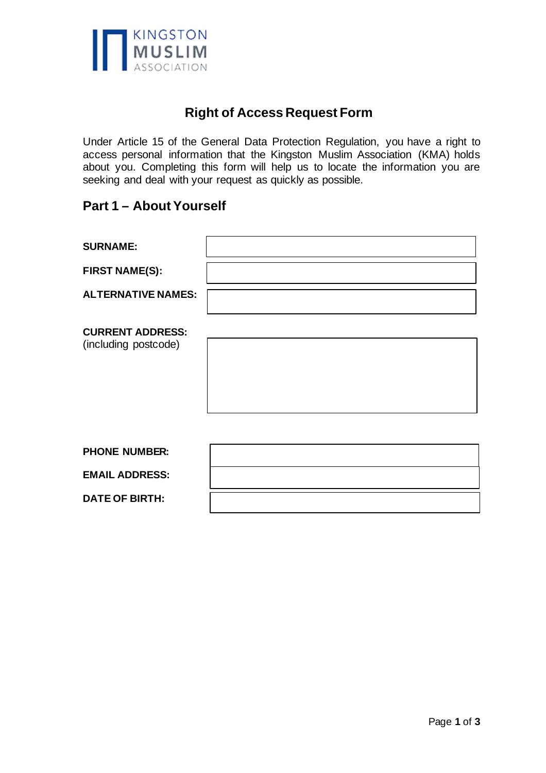

## **Right of Access Request Form**

Under Article 15 of the General Data Protection Regulation, you have a right to access personal information that the Kingston Muslim Association (KMA) holds about you. Completing this form will help us to locate the information you are seeking and deal with your request as quickly as possible.

### **Part 1 – About Yourself**

| <b>SURNAME:</b>                                 |  |
|-------------------------------------------------|--|
| <b>FIRST NAME(S):</b>                           |  |
| <b>ALTERNATIVE NAMES:</b>                       |  |
| <b>CURRENT ADDRESS:</b><br>(including postcode) |  |
| <b>PHONE NUMBER:</b>                            |  |
| <b>EMAIL ADDRESS:</b>                           |  |
| <b>DATE OF BIRTH:</b>                           |  |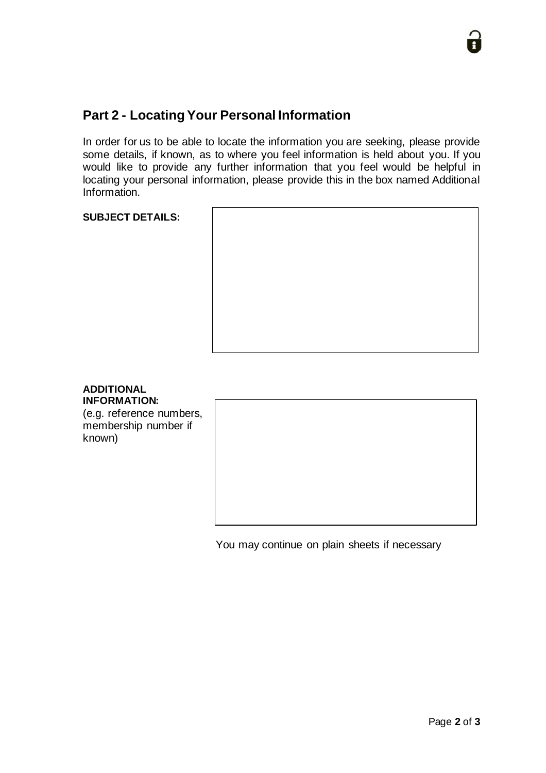# **Part 2 - Locating Your Personal Information**

In order for us to be able to locate the information you are seeking, please provide some details, if known, as to where you feel information is held about you. If you would like to provide any further information that you feel would be helpful in locating your personal information, please provide this in the box named Additional Information.

### **SUBJECT DETAILS:**



#### **ADDITIONAL INFORMATION:**

(e.g. reference numbers, membership number if known)

You may continue on plain sheets if necessary